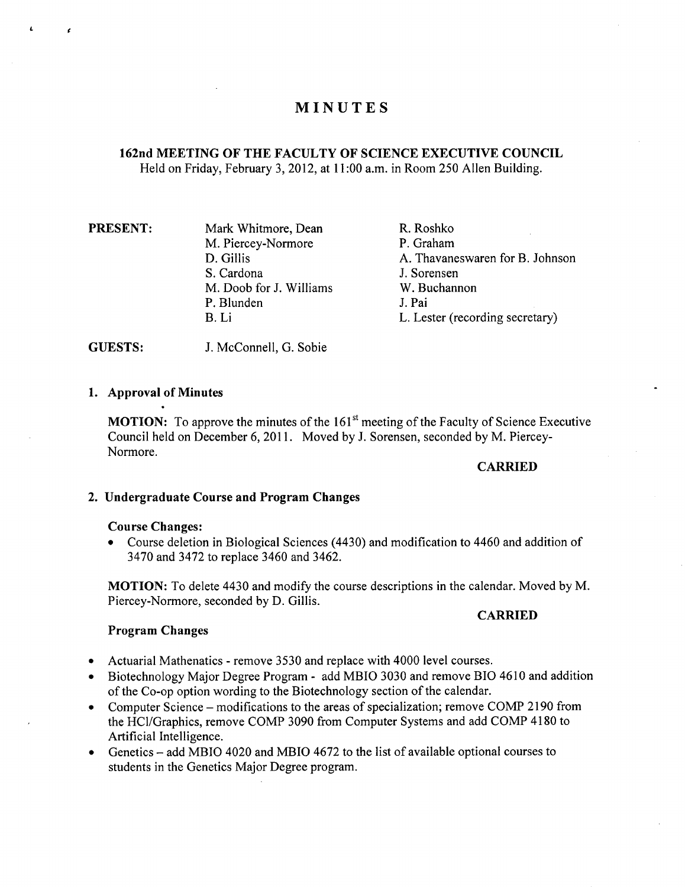# **MINUTES**

# **162nd MEETING OF THE FACULTY OF SCIENCE EXECUTIVE COUNCIL**  Held on Friday, February 3,2012, at 11:00a.m. in Room *250* Allen Building.

| <b>PRESENT:</b> | Mark Whitmore, Dean     | R. Roshko                       |
|-----------------|-------------------------|---------------------------------|
|                 | M. Piercey-Normore      | P. Graham                       |
|                 | D. Gillis               | A. Thavaneswaren for B. Johnson |
|                 | S. Cardona              | J. Sorensen                     |
|                 | M. Doob for J. Williams | W. Buchannon                    |
|                 | P. Blunden              | J. Pai                          |
|                 | B. Li                   | L. Lester (recording secretary) |
|                 |                         |                                 |

GUESTS: J. McConnell, G. Sobie

## **Approval of Minutes**

**MOTION:** To approve the minutes of the 161<sup>st</sup> meeting of the Faculty of Science Executive Council held on December 6, 2011. Moved by J. Sorensen, seconded by M. Piercey-Normore.

#### **CARRIED**

#### **Undergraduate Course and Program Changes**

#### **Course Changes:**

Course deletion in Biological Sciences (4430) and modification to 4460 and addition of  $\bullet$ 3470 and 3472 to replace 3460 and 3462.

**MOTION:** To delete 4430 and modify the course descriptions in the calendar. Moved by M. Piercey-Normore, seconded by D. Gillis.

#### **CARRIED**

#### **Program Changes**

- Actuarial Mathenatics remove 3530 and replace with 4000 level courses.
- Biotechnology Major Degree Program add MBIO 3030 and remove BlO 4610 and addition of the Co-op option wording to the Biotechnology section of the calendar.
- Computer Science modifications to the areas of specialization; remove COMP 2190 from the HC1/Graphics, remove COMP 3090 from Computer Systems and add COMP 4180 to Artificial Intelligence.
- Genetics add MBIO 4020 and MBIO 4672 to the list of available optional courses to students in the Genetics Major Degree program.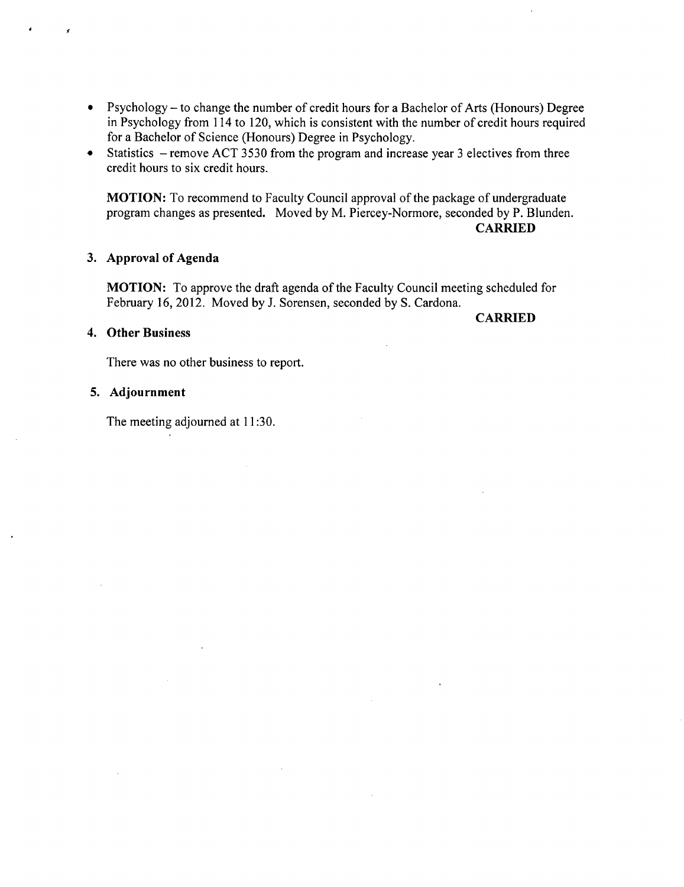- Psychology to change the number of credit hours for a Bachelor of Arts (Honours) Degree in Psychology from 114 to 120, which is consistent with the number of credit hours required for a Bachelor of Science (Honours) Degree in Psychology.
- Statistics remove ACT 3530 from the program and increase year 3 electives from three  $\bullet$ credit hours to six credit hours.

**MOTION:** To recommend to Faculty Council approval of the package of undergraduate program changes as presented. Moved by M. Piercey-Normore, seconded by P. Blunden. **CARRIED** 

#### **Approval of Agenda**

**MOTION:** To approve the draft agenda of the Faculty Council meeting scheduled for February 16, 2012. Moved by J. Sorensen, seconded by S. Cardona.

#### **Other Business**

**CARRIED** 

There was no other business to report.

## **Adjournment**

The meeting adjourned at 11:30.